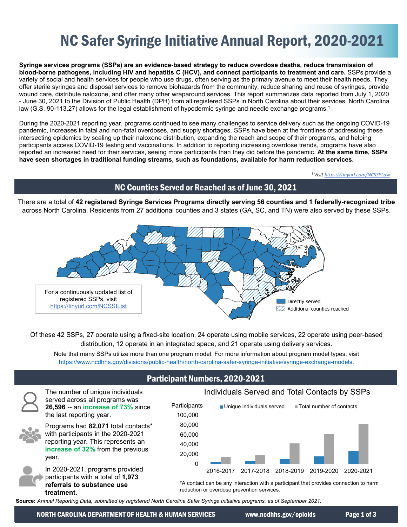# NC Safer Syringe Initiative Annual Report, 2020-2021

**Syringe services programs (SSPs) are an evidence-based strategy to reduce overdose deaths, reduce transmission of blood-borne pathogens, including HIV and hepatitis C (HCV), and connect participants to treatment and care.** SSPs provide a variety of social and health services for people who use drugs, often serving as the primary avenue to meet their health needs. They offer sterile syringes and disposal services to remove biohazards from the community, reduce sharing and reuse of syringes, provide wound care, distribute naloxone, and offer many other wraparound services. This report summarizes data reported from July 1, 2020 - June 30, 2021 to the Division of Public Health (DPH) from all registered SSPs in North Carolina about their services. North Carolina law (G.S. 90-113.27) allows for the legal establishment of hypodermic syringe and needle exchange programs.<sup>1</sup>

During the 2020-2021 reporting year, programs continued to see many challenges to service delivery such as the ongoing COVID-19 pandemic, increases in fatal and non-fatal overdoses, and supply shortages. SSPs have been at the frontlines of addressing these intersecting epidemics by scaling up their naloxone distribution, expanding the reach and scope of their programs, and helping participants access COVID-19 testing and vaccinations. In addition to reporting increasing overdose trends, programs have also reported an increased need for their services, seeing more participants than they did before the pandemic. **At the same time, SSPs have seen shortages in traditional funding streams, such as foundations, available for harm reduction services.**

*[¹ Visit https://tinyurl.com/NCSSPLaw](https://tinyurl.com/NCSSPLaw)*

# NC Counties Served or Reached as of June 30, 2021

There are a total of **42 registered Syringe Services Programs directly serving 56 counties and 1 federally-recognized tribe**  across North Carolina. Residents from 27 additional counties and 3 states (GA, SC, and TN) were also served by these SSPs.



Of these 42 SSPs, 27 operate using a fixed-site location, 24 operate using mobile services, 22 operate using peer-based distribution, 12 operate in an integrated space, and 21 operate using delivery services.

Note that many SSPs utilize more than one program model. For more information about program model types, visit https://www.ncdhhs.gov/divisions/public-health/north-carolina-safer-syringe-initiative/syringe-exchange-models.

### \*A contact can be any interaction with a participant that provides connection to harm Participant Numbers, 2020-2021  $\Omega$ 20,000 40,000 60,000 80,000 100,000 2016-2017 2017-2018 2018-2019 2019-2020 2020-2021 **Participants** Individuals Served and Total Contacts by SSPs  $\blacksquare$  Unique individuals served  $\blacksquare$  Total number of contacts

The number of unique individuals served across all programs was **26,596** -- an **increase of 73%** since the last reporting year.



Programs had **82,071** total contacts\* with participants in the 2020-2021 reporting year. This represents an **increase of 32%** from the previous year.



reduction or overdose prevention services.

**Source:** *Annual Reporting Data, submitted by registered North Carolina Safer Syringe Initiative programs, as of September 2021.*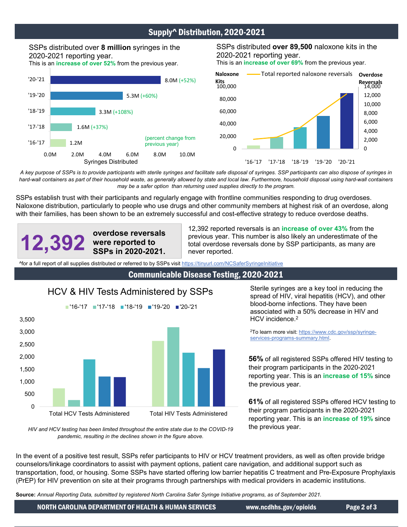## Supply^ Distribution, 2020-2021

# SSPs distributed over 8 million syringes in the 2020-2021 reporting year.

This is an **increase of over 52%** from the previous year.







*A key purpose of SSPs is to provide participants with sterile syringes and facilitate safe disposal of syringes. SSP participants can also dispose of syringes in*  hard-wall containers as part of their household waste, as generally allowed by state and local law. Furthermore, household disposal using hard-wall containers *may be a safer option than returning used supplies directly to the program.*

SSPs establish trust with their participants and regularly engage with frontline communities responding to drug overdoses. Naloxone distribution, particularly to people who use drugs and other community members at highest risk of an overdose, along with their families, has been shown to be an extremely successful and cost-effective strategy to reduce overdose deaths.

**12,392 overdose reversals were reported to SSPs in 2020-2021.**

12,392 reported reversals is an **increase of over 43%** from the previous year. This number is also likely an underestimate of the total overdose reversals done by SSP participants, as many are never reported.

^for [a full report of all supplies distributed or referred to by SSPs visit https://tinyurl.com/NCSaferSyringeInitiative](https://tinyurl.com/NCSaferSyringeInitiative) 

#### Communicable Disease Testing, 2020-2021

### HCV & HIV Tests Administered by SSPs



Sterile syringes are a key tool in reducing the [spread of HIV, viral hepatitis \(HCV\), and other](https://www.cdc.gov/ssp/syringe-services-programs-summary.html)  blood-borne infections. They have been associated with a 50% decrease in HIV and HCV incidence.<sup>2</sup>

2To learn more visit: https://www.cdc.gov/ssp/syringeservices-programs-summary.html.

**56%** of all registered SSPs offered HIV testing to their program participants in the 2020-2021 reporting year. This is an **increase of 15%** since the previous year.

**61%** of all registered SSPs offered HCV testing to their program participants in the 2020-2021 reporting year. This is an **increase of 19%** since the previous year.

*HIV and HCV testing has been limited throughout the entire state due to the COVID-19 pandemic, resulting in the declines shown in the figure above.*

In the event of a positive test result, SSPs refer participants to HIV or HCV treatment providers, as well as often provide bridge counselors/linkage coordinators to assist with payment options, patient care navigation, and additional support such as transportation, food, or housing. Some SSPs have started offering low barrier hepatitis C treatment and Pre-Exposure Prophylaxis (PrEP) for HIV prevention on site at their programs through partnerships with medical providers in academic institutions.

**Source:** *Annual Reporting Data, submitted by registered North Carolina Safer Syringe Initiative programs, as of September 2021.*

NORTH CAROLINA DEPARTMENT OF HEALTH & HUMAN SERVICES www.ncdhhs.gov/opioids Page 2 of 3